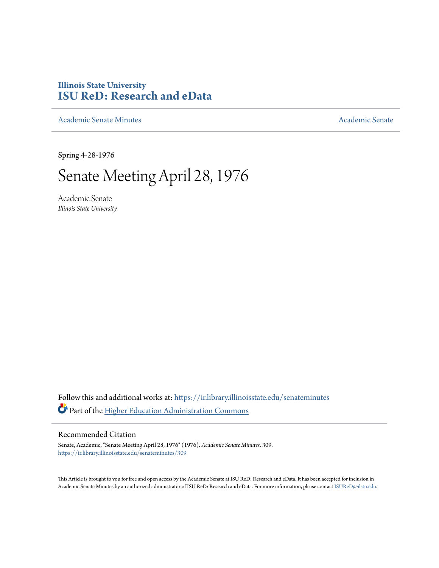# **Illinois State University [ISU ReD: Research and eData](https://ir.library.illinoisstate.edu?utm_source=ir.library.illinoisstate.edu%2Fsenateminutes%2F309&utm_medium=PDF&utm_campaign=PDFCoverPages)**

[Academic Senate Minutes](https://ir.library.illinoisstate.edu/senateminutes?utm_source=ir.library.illinoisstate.edu%2Fsenateminutes%2F309&utm_medium=PDF&utm_campaign=PDFCoverPages) [Academic Senate](https://ir.library.illinoisstate.edu/senate?utm_source=ir.library.illinoisstate.edu%2Fsenateminutes%2F309&utm_medium=PDF&utm_campaign=PDFCoverPages) Academic Senate

Spring 4-28-1976

# Senate Meeting April 28, 1976

Academic Senate *Illinois State University*

Follow this and additional works at: [https://ir.library.illinoisstate.edu/senateminutes](https://ir.library.illinoisstate.edu/senateminutes?utm_source=ir.library.illinoisstate.edu%2Fsenateminutes%2F309&utm_medium=PDF&utm_campaign=PDFCoverPages) Part of the [Higher Education Administration Commons](http://network.bepress.com/hgg/discipline/791?utm_source=ir.library.illinoisstate.edu%2Fsenateminutes%2F309&utm_medium=PDF&utm_campaign=PDFCoverPages)

## Recommended Citation

Senate, Academic, "Senate Meeting April 28, 1976" (1976). *Academic Senate Minutes*. 309. [https://ir.library.illinoisstate.edu/senateminutes/309](https://ir.library.illinoisstate.edu/senateminutes/309?utm_source=ir.library.illinoisstate.edu%2Fsenateminutes%2F309&utm_medium=PDF&utm_campaign=PDFCoverPages)

This Article is brought to you for free and open access by the Academic Senate at ISU ReD: Research and eData. It has been accepted for inclusion in Academic Senate Minutes by an authorized administrator of ISU ReD: Research and eData. For more information, please contact [ISUReD@ilstu.edu.](mailto:ISUReD@ilstu.edu)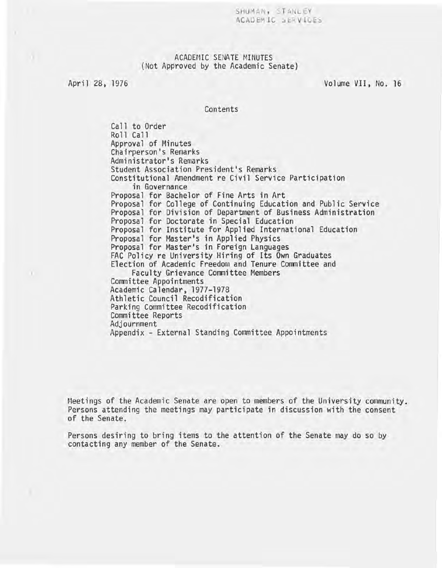SHUMAN, STANLEY ACAD EM IC SERVICES

## ACADEMIC SENATE MINUTES (Not Approved by the Academic Senate)

)

April 28, 1976 **Volume VII**, No. 16

Contents

Call to Order Roll Call Approval of Minutes Chairperson's Remarks Administrator's Remarks Student Association President's Remarks Constitutional Amendment re Civil Service Participation in Governance Proposal for Bachelor of Fine Arts in Art Proposal for College of Continuing Education and Public Service Proposal for Division of Department of Business Administration Proposal for Doctorate in Special Education Proposal for Institute for Applied International Education<br>Proposal for Master's in Applied Physics Proposal for Master's in Foreign Languages<br>FAC Policy re University Hiring of Its Own Graduates Election of Academic Freedom and Tenure Committee and Faculty Grievance Committee Members<br>Committee Appointments Academic Calendar, 1977-1978 Athletic Council Recodification Parking Committee Recodification Committee Reports Adjournment Appendix - External Standing Committee Appointments

Meetings of the Academic Senate are open to members of the University community. Persons attending the meetings may participate in discussion with the consent of the Senate.

Persons desiring to bring items to the attention of the Senate may do so by contacting any member of the Senate.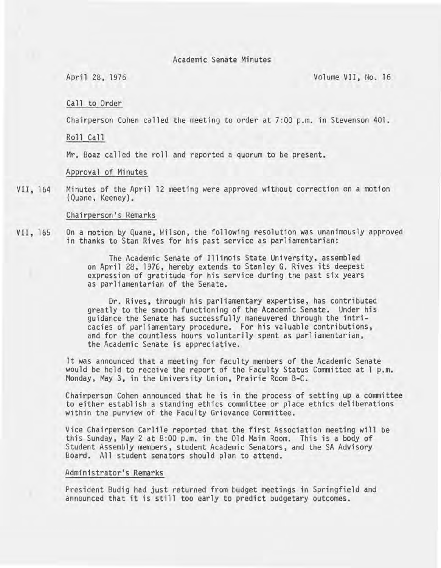Academic Senate Minutes

April 28, 1976 Volume VII, No. 16

Call to Order

Chairperson Cohen called the meeting to order at 7:00 p.m. in Stevenson 401.

Roll Call

Mr. Boaz called the roll and reported a quorum to be present.

Approval of Minutes

VII, 164 Minutes of the April 12 meeting were approved without correction on a motion (Quane, Keeney).

#### Chairperson's Remarks

VII, 165 On a motion by Quane, Wilson, the following resolution was unanimously approved in thanks to Stan Rives for his past service as parliamentarian:

> The Academic Senate of Illinois State University, assembled on April 28, 1976, hereby extends to Stanley G. Rives its deepest expression of gratitude for his service during the past six years as parliamentarian of the Senate.

Dr. Rives, through his parliamentary expertise, has contributed greatly to the smooth functioning of the Academic Senate. Under his guidance the Senate has successfully maneuvered through the intricacies of parliamentary procedure. For his valuable contributions, and for the countless hours voluntarily spent as parliamentarian, the Academic Senate is appreciative.

It was announced that a meeting for faculty members of the Academic Senate would be held to receive the report of the Faculty Status Committee at 1 p.m. Monday, May 3, in the University Union, Prairie Room B-C.

Chairperson Cohen announced that he is in the process of setting up a committee to either establish a standing ethics committee or place ethics deliberations within the purview of the Faculty Grievance Committee.

Vice Chairperson Carlile reported that the first Association meeting will be this Sunday, May 2 at 8:00 p.m. in the Old Main Room. This is a body of Student Assembly members, student Academic Senators, and the SA Advisory Board. All student senators should plan to attend.

## Administrator's Remarks

President Budig had just returned from budget meetings in Springfield and announced that it is still too early to predict budgetary outcomes.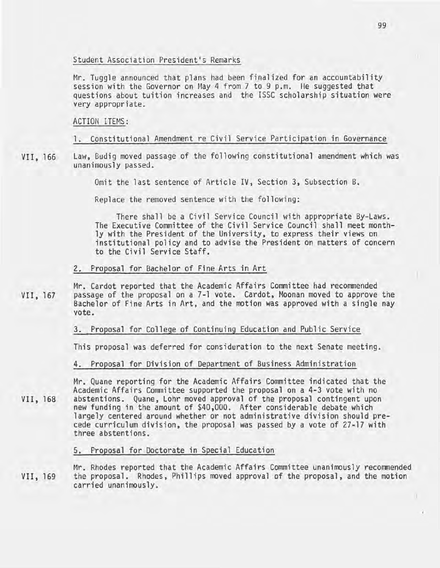## Student Association President's Remarks

Mr. Tuggle announced that plans had been finalized for an accountability session with the Governor on May 4 from 7 to 9 p.m. He suggested that questions about tuition increases and the ISSC scholarship situation were very appropriate.

#### ACTION ITEMS:

## 1. Constitutional Amendment re Civil Service Participation in Governance

VII, 166 Law, Budig moved passage of the following constitutional amendment which was unanimously passed.

Omit the last sentence of Article IV, Section 3, Subsection B.

Replace the removed sentence with the following:

There shall be a Civil Service Council with appropriate By-Laws. The Executive Committee of the Civil Service Council shall meet monthly with the President of the University, to express their views on institutional policy and to advise the President on matters of concern to the Civil Service Staff.

#### 2. Proposal for Bachelor of Fine Arts in Art

VII, 167 Mr. Cardot reported that the Academic Affairs Committee had recommended passage of the proposal on a 7-1 vote. Cardot, Moonan moved to approve the Bachelor of Fine Arts in Art, and the motion was approved with a single nay vote.

## 3. Proposal for College of Continuing Education and Public Service

This proposal was deferred for consideration to the next Senate meeting.

4. Proposal for Division of Department of Business Administration

Mr. Quane reporting for the Academic Affairs Committee indicated that the Academic Affairs Committee supported the proposal on a 4-3 vote with no abstentions. Quane, Lohr moved approval of the proposal contingent upon new funding in the amount of \$40,000. After considerable debate which largely centered around whether or not administrative division should precede curriculum division, the proposal was passed by a vote of 27-17 with three abstentions.

5. Proposal for Doctorate in Special Education

VII, 169 Mr. Rhodes reported that the Academic Affairs Committee unanimously recommended the proposal. Rhodes, Phillips moved approval of the proposal, and the motion carried unanimously.

VII, 168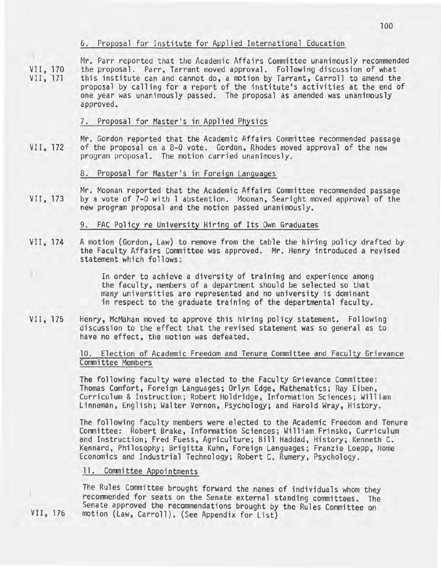## 6. Proposal for Institute for Applied International Education

VII, 170 VII, 171 Mr. Parr reported that the Academic Affairs Committee unanimously recommended the proposal. Parr, Tarrant moved approval. Following discussion of what this institute can and cannot do, a motion by Tarrant, Carroll to amend the proposal by calling for a report of the institute's activities at the end of one year was unanimously passed. The proposal as amended was unanimously approved.

## 7. Proposal for Master's in Applied Physics

VII, 172 Mr. Gordon reported that the Academic Affairs Committee recommended passage of the proposal on a 8-0 vote. Gordon, Rhodes moved approval of the new program proposal. The motion carried unanimously.

## 8. Proposal for Master's in Foreign Languages

VII, 173 Mr. Moonan reported that the Academic Affairs Committee recommended passage by a vote of 7-0 with 1 abstention. Moonan, Searight moved approval of the new program proposal and the motion passed unanimously.

## 9. FAC Policy re University Hiring of Its Own Graduates

- VII, 174 A motion (Gordon, Law) to remove from the table the hiring policy drafted by the Faculty Affairs Committee was approved. Mr. Henry introduced a revised statement which follows:
	- In order to achieve a diversity of training and experience among the faculty, members of a department should be selected so that many universities are represented and no university is dominant in respect to the graduate training of the departmental faculty.
- VII, 175 Henry, McMahan moved to approve this hiring policy statement. Following discussion to the effect that the revised statement was so general as to have no effect, the motion was defeated.

## 10. Election of Academic Freedom and Tenure Committee and Faculty Grievance Committee Members

The following faculty were elected to the Faculty Grievance Committee: Thomas Comfort, Foreign Languages; Orlyn Edge, Mathematics; Ray Eiben, Curriculum & Instruction; Robert Holdridge, Information Sciences; William Linneman, English; Walter Vernon, Psychology; and Harold Wray, History.

The following faculty members were elected to the Academic Freedom and Tenure Committee: Robert Brake, Information Sciences; William Frinsko, Curriculum and Instruction; Fred Fuess, Agriculture; Bill Haddad, History; Kenneth C. Kennard, Philosophy; Brigitta Kuhn, Foreign Languages; Franzie Loepp, Home Economics and Industrial Technology; Robert C. Rumery, Psychology.

## 11. Committee Appointments

The Rules Committee brought forward the names of individuals whom they recommended for seats on the Senate external standing committees. The Senate approved the recommendations brought by the Rules Committee on motion (Law, Carroll). (See Appendix for List)

VII, 176

)

100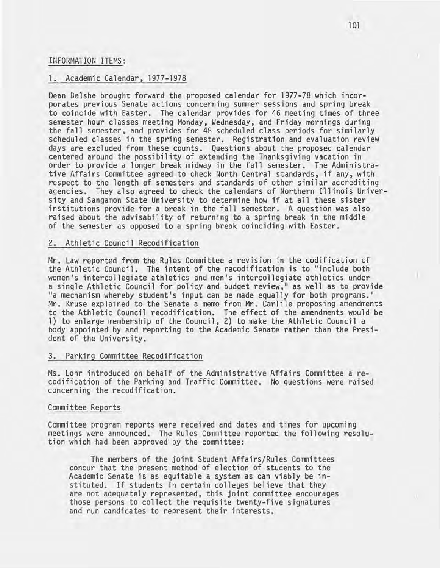#### INFORMATION ITEMS:

## 1. Academic Calendar, 1977-1978

Dean Belshe brought forward the proposed calendar for 1977-78 which incorporates previous Senate actions concerning summer sessions and spring break to coincide with Easter. The calendar provides for 46 meeting times of three<br>semester hour classes meeting Monday, Wednesday, and Friday mornings during the fall semester, and provides for 48 scheduled class periods for similarly scheduled classes in the spring semester. Registration and evaluation review days are excluded from these counts. Questions about the proposed calendar centered around the possibility of extending the Thanksgiving vacation in order to provide a longer break midway in the fall semester. The Administrative Affairs Committee agreed to check North Central standards, if any, with respect to the length of semesters and standards of other similar accrediting<br>agencies. They also agreed to check the calendars of Northern Illinois University and Sangamon State University to determine how if at all these sister institutions provide for a break in the fall semester. A question was also raised about the advisability of returning to a spring break in the middle of the semester as opposed to a spring break coinciding with Easter.

## 2. Athletic Council Recodification

Mr. Law reported from the Rules Committee a revision in the codification of the Athletic Council. The intent of the recodification is to "include both women's intercollegiate athletics and men's intercollegiate athletics under a single Athletic Council for policy and budget review," as well as to provide "a mechanism whereby student's input can be made equally for both programs." Mr. Kruse explained to the Senate a memo from Mr. Carlile proposing amendments to the Athletic Council recodification. The effect of the amendments would be 1) to enlarge membership of the Council, 2) to make the Athletic Council a body appointed by and reporting to the Academic Senate rather than the President of the University.

#### 3. Parking Committee Recodification

Ms. Lohr introduced on behalf of the Administrative Affairs Committee a recodification of the Parking and Traffic Committee. No questions were raised concerning the recodification.

#### Committee Reports

Committee program reports were received and dates and times for upcoming meetings were announced. The Rules Committee reported the following resolution which had been approved by the committee:

The members of the joint Student Affairs/Rules Committees concur that the present method of election of students to the Academic Senate is as equitable a system as can viably be instituted. If students in certain colleges believe that they are not adequately represented, this joint committee encourages those persons to collect the requisite twenty-five signatures and run candidates to represent their interests.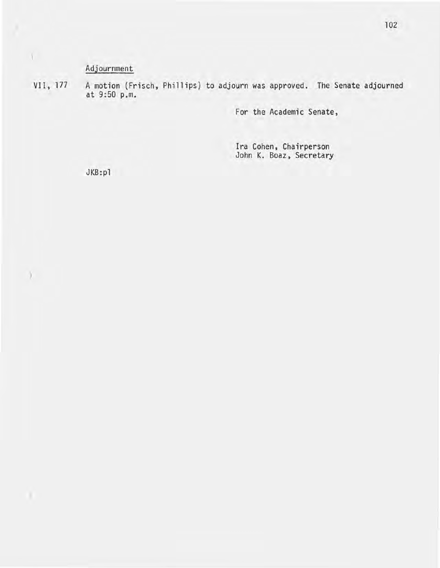## Adjournment

VII, 177

 $\Lambda^-$ 

)

A motion (Frisch, Phillips) to adjourn was approved. The Senate adjourned at 9:50 p.m.

For the Academic Senate,

Ira Cohen, Chairperson John K. Boaz, Secretary

JKB:pl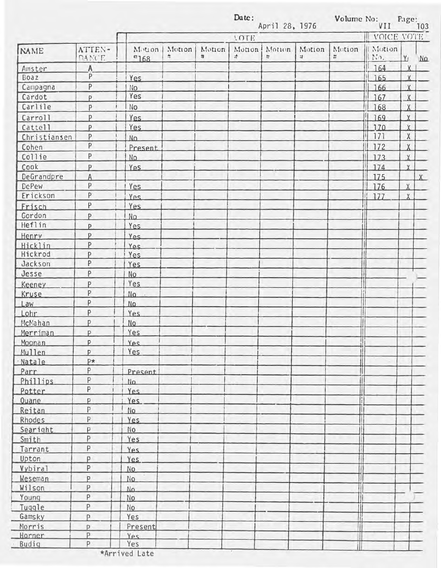|              |                 |                          | Date:<br>April 28, 1976 |             |              |             |               | Volume No:  | VII                                |                | Page:<br>103 |  |
|--------------|-----------------|--------------------------|-------------------------|-------------|--------------|-------------|---------------|-------------|------------------------------------|----------------|--------------|--|
|              |                 |                          |                         |             | <b>LOTE</b>  |             |               |             | VOICE VOTE<br>Ш                    |                |              |  |
| <b>NAME</b>  | ATTEN-<br>DANCE | Motion<br>$~^{\circ}168$ | Motion<br>쏞             | Motion<br># | Monon<br>zł. | Motion<br>÷ | Motion<br>at. | Motion<br>× | Motion<br>$  \nabla \cdot \cdot  $ | $\mathbf{Y}$   | MQ           |  |
| Amster       | A               |                          |                         |             |              |             |               |             | 164                                | X              |              |  |
| Boaz         | P.              | Yes                      |                         |             |              |             |               |             | 165                                | $\overline{X}$ |              |  |
| Campagna     | P               | No                       |                         |             |              |             |               |             | 166                                | $\chi$         |              |  |
| Cardot       | p               | Yes                      |                         |             |              |             |               |             | 167                                | X              |              |  |
| Carlile      | P               | No                       |                         |             |              |             |               |             | 168                                | $\overline{X}$ |              |  |
| Carroll      | p               | Yes                      |                         |             |              |             |               |             | 169                                | $\mathbf{X}$   |              |  |
| Cattell      | P               | Yes                      |                         |             |              |             |               |             | 170                                | $\overline{X}$ |              |  |
| Christiansen | P               | No.                      |                         |             |              |             |               |             | 171                                | $\mathsf X$    |              |  |
| Cohen        | P               | Present                  |                         |             |              |             |               |             | 172                                | $\overline{X}$ |              |  |
| Collie       | P               | No.                      |                         |             |              |             |               |             | 173                                | $\chi$         |              |  |
| Cook         | P               | Yes.                     |                         |             |              |             |               |             | 174                                | $\mathsf{X}$   |              |  |
| DeGrandpre   | A               |                          |                         |             |              |             |               |             | 175                                |                | X            |  |
| DePew        | P               | Yes                      |                         |             |              |             |               |             | 176                                | $\chi$         |              |  |
| Erickson     | P               |                          |                         |             |              |             |               |             | $\mathbf{1}$                       |                |              |  |
|              | P               | Yes                      |                         |             |              |             |               |             | 177                                | $\chi$         |              |  |
| Frisch       |                 | Yes                      |                         |             |              |             |               |             |                                    |                |              |  |
| Gordon       | <b>p</b>        | No.                      |                         |             |              |             |               |             |                                    |                |              |  |
| Heflin       | P               | Yes.                     |                         |             |              |             |               |             |                                    |                |              |  |
| Henry        | p               | Yes.                     |                         |             |              |             |               |             |                                    |                |              |  |
| Hicklin      | P               | Yes.                     |                         |             |              |             |               |             |                                    |                |              |  |
| Hickrod      | P               | Yes                      |                         |             |              |             |               |             |                                    |                |              |  |
| Jackson      | P               | Yes                      |                         |             |              |             |               |             |                                    |                |              |  |
| Jesse        | $\mathsf{P}$    | No.                      |                         |             |              |             |               |             |                                    |                |              |  |
| Keeney       | P               | Yes                      |                         |             |              |             |               |             |                                    |                |              |  |
| Kruse        | P               | No.                      |                         |             |              |             |               |             |                                    |                |              |  |
| Law          | $\mathsf{P}$    | No.                      |                         |             |              |             |               |             |                                    |                |              |  |
| Lohr         | P               | Yes                      |                         |             |              |             |               |             |                                    |                |              |  |
| McMahan      | P               | <b>No</b>                |                         |             |              |             |               |             |                                    |                |              |  |
| Merriman     | D.              | Yes                      |                         |             |              |             |               |             |                                    |                |              |  |
| Moonan       | P               | Yes                      |                         |             |              |             |               |             |                                    |                |              |  |
| Mullen       | <b>p</b>        | Yes                      |                         |             |              |             |               |             |                                    |                |              |  |
| Natale       | p*              |                          |                         |             |              |             |               |             |                                    |                |              |  |
| Parr         | P               | Present                  |                         |             |              |             |               |             |                                    |                |              |  |
| Phillips     | P               | No.                      |                         |             |              |             |               |             |                                    |                |              |  |
| Potter       | P               | Yes.                     |                         |             |              |             |               |             |                                    |                |              |  |
| <b>Quane</b> | p               | Yes.                     |                         |             |              |             |               |             |                                    |                |              |  |
| Reitan       | P               | No                       |                         |             |              |             |               |             |                                    |                |              |  |
| Rhodes       | P               | <b>Yes</b>               |                         |             |              |             |               |             |                                    |                |              |  |
| Searight     | P               | No.                      |                         |             |              |             |               |             |                                    |                |              |  |
| Smith        | P               | Yes                      |                         |             |              |             |               |             |                                    |                |              |  |
| Tarrant      | P               | Yes.                     |                         |             |              |             |               |             |                                    |                |              |  |
| Upton        | p               | Yes.                     |                         |             |              |             |               |             |                                    |                |              |  |
| Vybiral      | P               | No.                      |                         |             |              |             |               |             |                                    |                |              |  |
| Weseman      | P               | No.                      |                         |             |              |             |               |             |                                    |                |              |  |
| Wilson       | Þ               | No.                      |                         |             |              |             |               |             |                                    |                |              |  |
| Young        | P               | No                       |                         |             |              |             |               |             |                                    |                |              |  |
| Tuggle       | P               | No                       |                         |             |              |             |               |             |                                    |                |              |  |
| Gamsky       | P               | Yes                      |                         |             |              |             |               |             |                                    |                |              |  |
| Morris       | p.              | Present                  |                         |             |              |             |               |             |                                    |                |              |  |
| Horner       | P.              | Yes                      |                         |             |              |             |               |             |                                    |                |              |  |
| Budig        | Þ               | Yes                      |                         |             |              |             |               | il          |                                    |                |              |  |

\*Arrived Late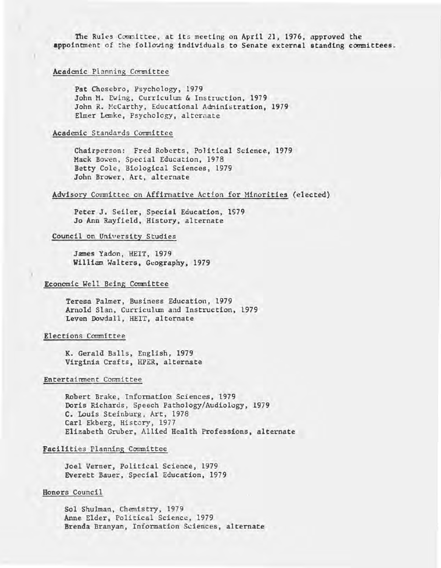The Rules Comnittee, at its meeting on April 21, 1976, approved the appointment of the following individuals to Senate external standing committees.

#### Academic Planning Conmittee

Pat Chesebro, Psychology, 1979 John M. Ewing, Curriculum & Instruction, 1979 John R. McCarthy, Educational Administration, 1979 Elmer Lemke, Psychology, alternate

#### Academic Standards Committee

Chairperson: Fred Roberts, Political Science, 1979 Mack Bowen, Special Education, 1978 Betty Colc, Biological Sciences, 1979 John Brower, Art, alternate

#### Advisory Committee on Affirmative Action for Minorities (elected)

Peter J. Seiler, Special Education, 1979 Jo Ann Rayfield, History, alternate

## Council on University Studies

James Yadon, HEIT, 1979 William Walters, Geography, 1979

#### Economic Well Being Committee

Teresa Palmer, Business Education, 1979 Arnold SIan, Curriculum and Instruction, 1979 Leven Dowdall, HEIT, alternate

#### Elections Committee

K. Gerald Balls, English, 1979 Virginia Crafts, HPER, alternate

#### Entertainment Committee

Robert Brake, Information Sciences, 1979 Doris Richards, Speech Pathology/Audiology, 1979 C. Louis Steinburg, Art, 1978 Carl Ekberg, History, 1977 Elizabeth Gruber, Allied Health Professions, alternate

#### Facilities Planning Committee

Joel Verner, Political Science, 1979 Everett Bauer, Special Education, 1979

#### Honors Council

Sol Shulman, Chemistry, 1979 Anne Elder, Political Science, 1979 Brenda Branyan, Information Sciences, alternate